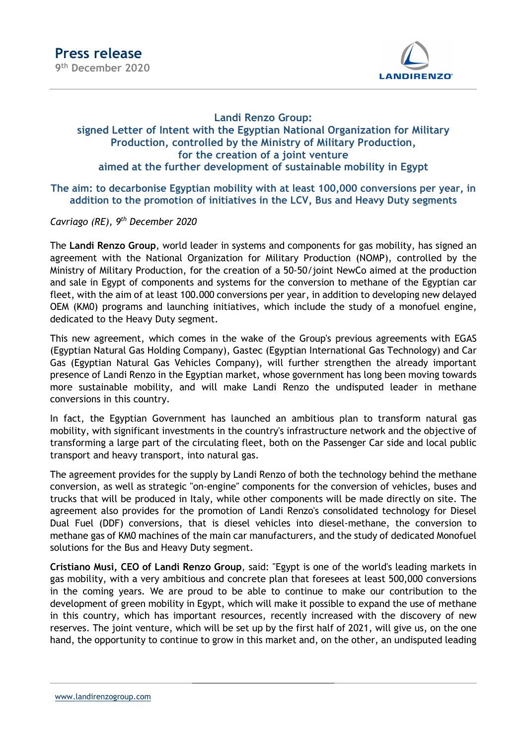

## Landi Renzo Group: signed Letter of Intent with the Egyptian National Organization for Military Production, controlled by the Ministry of Military Production, for the creation of a joint venture aimed at the further development of sustainable mobility in Egypt

The aim: to decarbonise Egyptian mobility with at least 100,000 conversions per year, in addition to the promotion of initiatives in the LCV, Bus and Heavy Duty segments

Cavriago (RE), 9<sup>th</sup> December 2020

The Landi Renzo Group, world leader in systems and components for gas mobility, has signed an agreement with the National Organization for Military Production (NOMP), controlled by the Ministry of Military Production, for the creation of a 50-50/joint NewCo aimed at the production and sale in Egypt of components and systems for the conversion to methane of the Egyptian car fleet, with the aim of at least 100.000 conversions per year, in addition to developing new delayed OEM (KM0) programs and launching initiatives, which include the study of a monofuel engine, dedicated to the Heavy Duty segment.

This new agreement, which comes in the wake of the Group's previous agreements with EGAS (Egyptian Natural Gas Holding Company), Gastec (Egyptian International Gas Technology) and Car Gas (Egyptian Natural Gas Vehicles Company), will further strengthen the already important presence of Landi Renzo in the Egyptian market, whose government has long been moving towards more sustainable mobility, and will make Landi Renzo the undisputed leader in methane conversions in this country.

In fact, the Egyptian Government has launched an ambitious plan to transform natural gas mobility, with significant investments in the country's infrastructure network and the objective of transforming a large part of the circulating fleet, both on the Passenger Car side and local public transport and heavy transport, into natural gas.

The agreement provides for the supply by Landi Renzo of both the technology behind the methane conversion, as well as strategic "on-engine" components for the conversion of vehicles, buses and trucks that will be produced in Italy, while other components will be made directly on site. The agreement also provides for the promotion of Landi Renzo's consolidated technology for Diesel Dual Fuel (DDF) conversions, that is diesel vehicles into diesel-methane, the conversion to methane gas of KM0 machines of the main car manufacturers, and the study of dedicated Monofuel solutions for the Bus and Heavy Duty segment.

Cristiano Musi, CEO of Landi Renzo Group, said: "Egypt is one of the world's leading markets in gas mobility, with a very ambitious and concrete plan that foresees at least 500,000 conversions in the coming years. We are proud to be able to continue to make our contribution to the development of green mobility in Egypt, which will make it possible to expand the use of methane in this country, which has important resources, recently increased with the discovery of new reserves. The joint venture, which will be set up by the first half of 2021, will give us, on the one hand, the opportunity to continue to grow in this market and, on the other, an undisputed leading